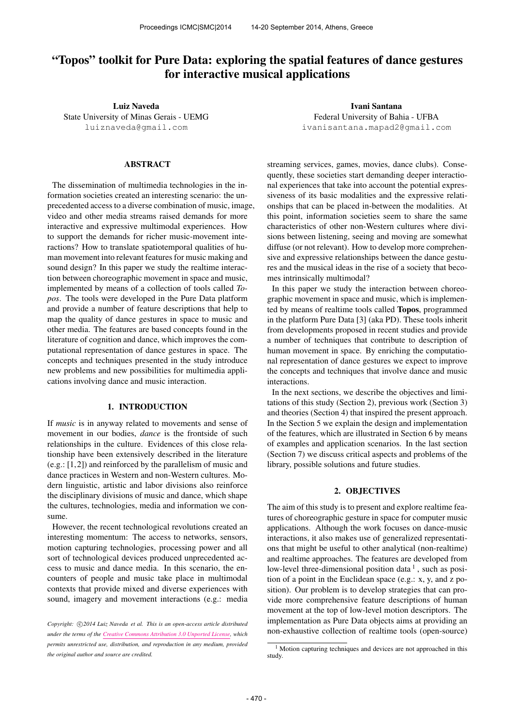# "Topos" toolkit for Pure Data: exploring the spatial features of dance gestures for interactive musical applications

Luiz Naveda State University of Minas Gerais - UEMG [luiznaveda@gmail.com](mailto:luiznaveda@gmail.com)

# ABSTRACT

The dissemination of multimedia technologies in the information societies created an interesting scenario: the unprecedented access to a diverse combination of music, image, video and other media streams raised demands for more interactive and expressive multimodal experiences. How to support the demands for richer music-movement interactions? How to translate spatiotemporal qualities of human movement into relevant features for music making and sound design? In this paper we study the realtime interaction between choreographic movement in space and music, implemented by means of a collection of tools called *Topos*. The tools were developed in the Pure Data platform and provide a number of feature descriptions that help to map the quality of dance gestures in space to music and other media. The features are based concepts found in the literature of cognition and dance, which improves the computational representation of dance gestures in space. The concepts and techniques presented in the study introduce new problems and new possibilities for multimedia applications involving dance and music interaction.

# 1. INTRODUCTION

If *music* is in anyway related to movements and sense of movement in our bodies, *dance* is the frontside of such relationships in the culture. Evidences of this close relationship have been extensively described in the literature (e.g.: [1,2]) and reinforced by the parallelism of music and dance practices in Western and non-Western cultures. Modern linguistic, artistic and labor divisions also reinforce the disciplinary divisions of music and dance, which shape the cultures, technologies, media and information we consume.

However, the recent technological revolutions created an interesting momentum: The access to networks, sensors, motion capturing technologies, processing power and all sort of technological devices produced unprecedented access to music and dance media. In this scenario, the encounters of people and music take place in multimodal contexts that provide mixed and diverse experiences with sound, imagery and movement interactions (e.g.: media

Ivani Santana Federal University of Bahia - UFBA [ivanisantana.mapad2@gmail.com](mailto:ivanisantana.mapad2@gmail.com)

streaming services, games, movies, dance clubs). Consequently, these societies start demanding deeper interactional experiences that take into account the potential expressiveness of its basic modalities and the expressive relationships that can be placed in-between the modalities. At this point, information societies seem to share the same characteristics of other non-Western cultures where divisions between listening, seeing and moving are somewhat diffuse (or not relevant). How to develop more comprehensive and expressive relationships between the dance gestures and the musical ideas in the rise of a society that becomes intrinsically multimodal?

In this paper we study the interaction between choreographic movement in space and music, which is implemented by means of realtime tools called Topos, programmed in the platform Pure Data [3] (aka PD). These tools inherit from developments proposed in recent studies and provide a number of techniques that contribute to description of human movement in space. By enriching the computational representation of dance gestures we expect to improve the concepts and techniques that involve dance and music interactions.

In the next sections, we describe the objectives and limitations of this study (Section 2), previous work (Section 3) and theories (Section 4) that inspired the present approach. In the Section 5 we explain the design and implementation of the features, which are illustrated in Section 6 by means of examples and application scenarios. In the last section (Section 7) we discuss critical aspects and problems of the library, possible solutions and future studies.

# 2. OBJECTIVES

The aim of this study is to present and explore realtime features of choreographic gesture in space for computer music applications. Although the work focuses on dance-music interactions, it also makes use of generalized representations that might be useful to other analytical (non-realtime) and realtime approaches. The features are developed from low-level three-dimensional position data<sup>1</sup>, such as position of a point in the Euclidean space (e.g.: x, y, and z position). Our problem is to develop strategies that can provide more comprehensive feature descriptions of human movement at the top of low-level motion descriptors. The implementation as Pure Data objects aims at providing an non-exhaustive collection of realtime tools (open-source)

Copyright:  $\bigcirc$ 2014 Luiz Naveda et al. This is an open-access article distributed *under the terms of the [Creative Commons Attribution 3.0 Unported License,](http://creativecommons.org/licenses/by/3.0/) which permits unrestricted use, distribution, and reproduction in any medium, provided the original author and source are credited.*

<sup>&</sup>lt;sup>1</sup> Motion capturing techniques and devices are not approached in this study.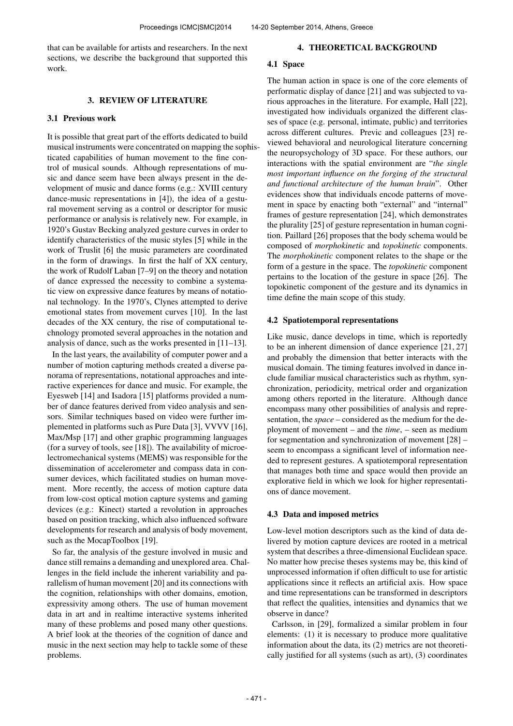that can be available for artists and researchers. In the next sections, we describe the background that supported this work.

# 3. REVIEW OF LITERATURE

# 3.1 Previous work

It is possible that great part of the efforts dedicated to build musical instruments were concentrated on mapping the sophisticated capabilities of human movement to the fine control of musical sounds. Although representations of music and dance seem have been always present in the development of music and dance forms (e.g.: XVIII century dance-music representations in [4]), the idea of a gestural movement serving as a control or descriptor for music performance or analysis is relatively new. For example, in 1920's Gustav Becking analyzed gesture curves in order to identify characteristics of the music styles [5] while in the work of Truslit [6] the music parameters are coordinated in the form of drawings. In first the half of XX century, the work of Rudolf Laban [7–9] on the theory and notation of dance expressed the necessity to combine a systematic view on expressive dance features by means of notational technology. In the 1970's, Clynes attempted to derive emotional states from movement curves [10]. In the last decades of the XX century, the rise of computational technology promoted several approaches in the notation and analysis of dance, such as the works presented in [11–13].

In the last years, the availability of computer power and a number of motion capturing methods created a diverse panorama of representations, notational approaches and interactive experiences for dance and music. For example, the Eyesweb [14] and Isadora [15] platforms provided a number of dance features derived from video analysis and sensors. Similar techniques based on video were further implemented in platforms such as Pure Data [3], VVVV [16], Max/Msp [17] and other graphic programming languages (for a survey of tools, see [18]). The availability of microelectromechanical systems (MEMS) was responsible for the dissemination of accelerometer and compass data in consumer devices, which facilitated studies on human movement. More recently, the access of motion capture data from low-cost optical motion capture systems and gaming devices (e.g.: Kinect) started a revolution in approaches based on position tracking, which also influenced software developments for research and analysis of body movement, such as the MocapToolbox [19].

So far, the analysis of the gesture involved in music and dance still remains a demanding and unexplored area. Challenges in the field include the inherent variability and parallelism of human movement [20] and its connections with the cognition, relationships with other domains, emotion, expressivity among others. The use of human movement data in art and in realtime interactive systems inherited many of these problems and posed many other questions. A brief look at the theories of the cognition of dance and music in the next section may help to tackle some of these problems.

### 4. THEORETICAL BACKGROUND

# 4.1 Space

The human action in space is one of the core elements of performatic display of dance [21] and was subjected to various approaches in the literature. For example, Hall [22], investigated how individuals organized the different classes of space (e.g. personal, intimate, public) and territories across different cultures. Previc and colleagues [23] reviewed behavioral and neurological literature concerning the neuropsychology of 3D space. For these authors, our interactions with the spatial environment are "*the single most important influence on the forging of the structural and functional architecture of the human brain*". Other evidences show that individuals encode patterns of movement in space by enacting both "external" and "internal" frames of gesture representation [24], which demonstrates the plurality [25] of gesture representation in human cognition. Paillard [26] proposes that the body schema would be composed of *morphokinetic* and *topokinetic* components. The *morphokinetic* component relates to the shape or the form of a gesture in the space. The *topokinetic* component pertains to the location of the gesture in space [26]. The topokinetic component of the gesture and its dynamics in time define the main scope of this study.

#### 4.2 Spatiotemporal representations

Like music, dance develops in time, which is reportedly to be an inherent dimension of dance experience [21, 27] and probably the dimension that better interacts with the musical domain. The timing features involved in dance include familiar musical characteristics such as rhythm, synchronization, periodicity, metrical order and organization among others reported in the literature. Although dance encompass many other possibilities of analysis and representation, the *space* – considered as the medium for the deployment of movement – and the *time*, – seen as medium for segmentation and synchronization of movement [28] – seem to encompass a significant level of information needed to represent gestures. A spatiotemporal representation that manages both time and space would then provide an explorative field in which we look for higher representations of dance movement.

#### 4.3 Data and imposed metrics

Low-level motion descriptors such as the kind of data delivered by motion capture devices are rooted in a metrical system that describes a three-dimensional Euclidean space. No matter how precise theses systems may be, this kind of unprocessed information if often difficult to use for artistic applications since it reflects an artificial axis. How space and time representations can be transformed in descriptors that reflect the qualities, intensities and dynamics that we observe in dance?

Carlsson, in [29], formalized a similar problem in four elements: (1) it is necessary to produce more qualitative information about the data, its (2) metrics are not theoretically justified for all systems (such as art), (3) coordinates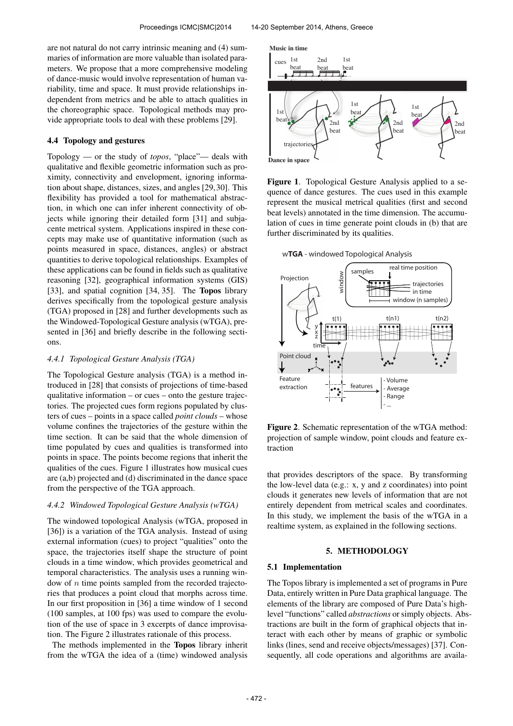are not natural do not carry intrinsic meaning and (4) summaries of information are more valuable than isolated parameters. We propose that a more comprehensive modeling of dance-music would involve representation of human variability, time and space. It must provide relationships independent from metrics and be able to attach qualities in the choreographic space. Topological methods may provide appropriate tools to deal with these problems [29].

# 4.4 Topology and gestures

Topology — or the study of *topos*, "place"— deals with qualitative and flexible geometric information such as proximity, connectivity and envelopment, ignoring information about shape, distances, sizes, and angles [29,30]. This flexibility has provided a tool for mathematical abstraction, in which one can infer inherent connectivity of objects while ignoring their detailed form [31] and subjacente metrical system. Applications inspired in these concepts may make use of quantitative information (such as points measured in space, distances, angles) or abstract quantities to derive topological relationships. Examples of these applications can be found in fields such as qualitative reasoning [32], geographical information systems (GIS) [33], and spatial cognition [34, 35]. The Topos library derives specifically from the topological gesture analysis (TGA) proposed in [28] and further developments such as the Windowed-Topological Gesture analysis (wTGA), presented in [36] and briefly describe in the following sections.

#### *4.4.1 Topological Gesture Analysis (TGA)*

The Topological Gesture analysis (TGA) is a method introduced in [28] that consists of projections of time-based qualitative information – or cues – onto the gesture trajectories. The projected cues form regions populated by clusters of cues – points in a space called *point clouds* – whose volume confines the trajectories of the gesture within the time section. It can be said that the whole dimension of time populated by cues and qualities is transformed into points in space. The points become regions that inherit the qualities of the cues. Figure 1 illustrates how musical cues are (a,b) projected and (d) discriminated in the dance space from the perspective of the TGA approach.

# *4.4.2 Windowed Topological Gesture Analysis (wTGA)*

The windowed topological Analysis (wTGA, proposed in [36]) is a variation of the TGA analysis. Instead of using external information (cues) to project "qualities" onto the space, the trajectories itself shape the structure of point clouds in a time window, which provides geometrical and temporal characteristics. The analysis uses a running window of  $n$  time points sampled from the recorded trajectories that produces a point cloud that morphs across time. In our first proposition in [36] a time window of 1 second (100 samples, at 100 fps) was used to compare the evolution of the use of space in 3 excerpts of dance improvisation. The Figure 2 illustrates rationale of this process.

The methods implemented in the Topos library inherit from the wTGA the idea of a (time) windowed analysis



Figure 1. Topological Gesture Analysis applied to a sequence of dance gestures. The cues used in this example represent the musical metrical qualities (first and second beat levels) annotated in the time dimension. The accumulation of cues in time generate point clouds in (b) that are further discriminated by its qualities.

w**TGA** - windowed Topological Analysis



Figure 2. Schematic representation of the wTGA method: projection of sample window, point clouds and feature extraction

that provides descriptors of the space. By transforming the low-level data (e.g.: x, y and z coordinates) into point clouds it generates new levels of information that are not entirely dependent from metrical scales and coordinates. In this study, we implement the basis of the wTGA in a realtime system, as explained in the following sections.

# 5. METHODOLOGY

#### 5.1 Implementation

The Topos library is implemented a set of programs in Pure Data, entirely written in Pure Data graphical language. The elements of the library are composed of Pure Data's highlevel "functions" called *abstractions* or simply objects. Abstractions are built in the form of graphical objects that interact with each other by means of graphic or symbolic links (lines, send and receive objects/messages) [37]. Consequently, all code operations and algorithms are availa-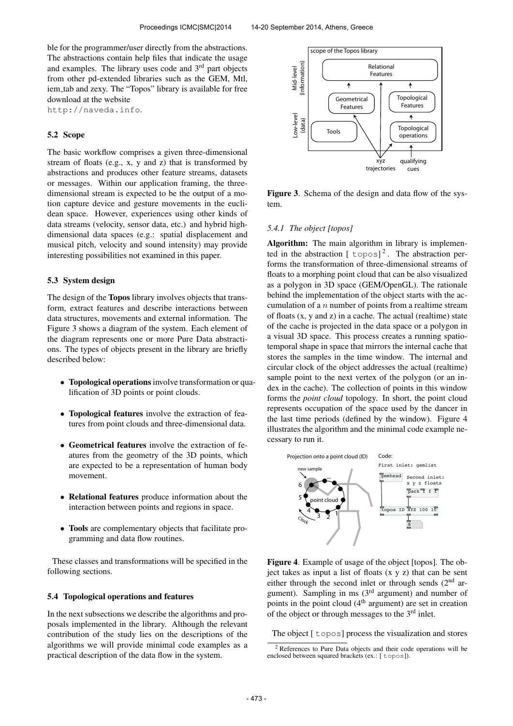ble for the programmer/user directly from the abstractions. The abstractions contain help files that indicate the usage and examples. The library uses code and 3<sup>rd</sup> part objects from other pd-extended libraries such as the GEM, Mtl, iem tab and zexy. The "Topos" library is available for free download at the website

http://naveda.info.

### 5.2 Scope

The basic workflow comprises a given three-dimensional stream of floats (e.g., x, y and z) that is transformed by abstractions and produces other feature streams, datasets or messages. Within our application framing, the threedimensional stream is expected to be the output of a motion capture device and gesture movements in the euclidean space. However, experiences using other kinds of data streams (velocity, sensor data, etc.) and hybrid highdimensional data spaces (e.g.: spatial displacement and musical pitch, velocity and sound intensity) may provide interesting possibilities not examined in this paper.

### 5.3 System design

The design of the Topos library involves objects that transform, extract features and describe interactions between data structures, movements and external information. The Figure 3 shows a diagram of the system. Each element of the diagram represents one or more Pure Data abstractions. The types of objects present in the library are briefly described below:

- Topological operations involve transformation or qualification of 3D points or point clouds.
- Topological features involve the extraction of features from point clouds and three-dimensional data.
- Geometrical features involve the extraction of features from the geometry of the 3D points, which are expected to be a representation of human body movement.
- Relational features produce information about the interaction between points and regions in space.
- Tools are complementary objects that facilitate programming and data flow routines.

These classes and transformations will be specified in the following sections.

### 5.4 Topological operations and features

In the next subsections we describe the algorithms and proposals implemented in the library. Although the relevant contribution of the study lies on the descriptions of the algorithms we will provide minimal code examples as a practical description of the data flow in the system.



Figure 3. Schema of the design and data flow of the system.

### *5.4.1 The object [topos]*

Algorithm: The main algorithm in library is implemented in the abstraction  $[topos]^2$ . The abstraction performs the transformation of three-dimensional streams of floats to a morphing point cloud that can be also visualized as a polygon in 3D space (GEM/OpenGL). The rationale behind the implementation of the object starts with the accumulation of a  $n$  number of points from a realtime stream of floats (x, y and z) in a cache. The actual (realtime) state of the cache is projected in the data space or a polygon in a visual 3D space. This process creates a running spatiotemporal shape in space that mirrors the internal cache that stores the samples in the time window. The internal and circular clock of the object addresses the actual (realtime) sample point to the next vertex of the polygon (or an index in the cache). The collection of points in this window forms the *point cloud* topology. In short, the point cloud represents occupation of the space used by the dancer in the last time periods (defined by the window). Figure 4 illustrates the algorithm and the minimal code example necessary to run it.



Figure 4. Example of usage of the object [topos]. The object takes as input a list of floats  $(x, y, z)$  that can be sent either through the second inlet or through sends  $(2<sup>nd</sup>$  argument). Sampling in ms  $(3<sup>rd</sup>$  argument) and number of points in the point cloud  $(4<sup>th</sup>$  argument) are set in creation of the object or through messages to the 3rd inlet.

The object [ topos] process the visualization and stores

<sup>2</sup> References to Pure Data objects and their code operations will be enclosed between squared brackets (ex.: [ topos]).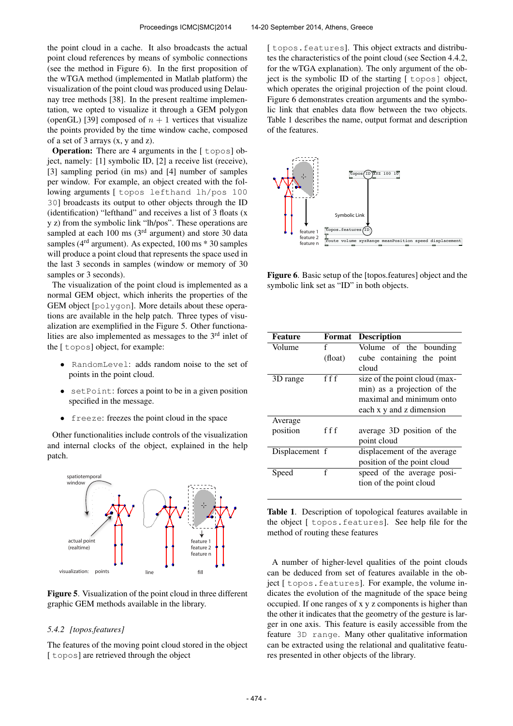the point cloud in a cache. It also broadcasts the actual point cloud references by means of symbolic connections (see the method in Figure 6). In the first proposition of the wTGA method (implemented in Matlab platform) the visualization of the point cloud was produced using Delaunay tree methods [38]. In the present realtime implementation, we opted to visualize it through a GEM polygon (openGL) [39] composed of  $n + 1$  vertices that visualize the points provided by the time window cache, composed of a set of 3 arrays (x, y and z).

**Operation:** There are 4 arguments in the [ topos] object, namely: [1] symbolic ID, [2] a receive list (receive), [3] sampling period (in ms) and [4] number of samples per window. For example, an object created with the following arguments [ topos lefthand lh/pos 100 30] broadcasts its output to other objects through the ID (identification) "lefthand" and receives a list of 3 floats (x y z) from the symbolic link "lh/pos". These operations are sampled at each  $100 \text{ ms}$  ( $3^{\text{rd}}$  argument) and store 30 data samples ( $4<sup>rd</sup>$  argument). As expected, 100 ms  $*$  30 samples will produce a point cloud that represents the space used in the last 3 seconds in samples (window or memory of 30 samples or 3 seconds).

The visualization of the point cloud is implemented as a normal GEM object, which inherits the properties of the GEM object [polygon]. More details about these operations are available in the help patch. Three types of visualization are exemplified in the Figure 5. Other functionalities are also implemented as messages to the 3rd inlet of the [ topos] object, for example:

- RandomLevel: adds random noise to the set of points in the point cloud.
- setPoint: forces a point to be in a given position specified in the message.
- freeze: freezes the point cloud in the space

Other functionalities include controls of the visualization and internal clocks of the object, explained in the help patch.



Figure 5. Visualization of the point cloud in three different graphic GEM methods available in the library.

### *5.4.2 [topos.features]*

The features of the moving point cloud stored in the object [ topos] are retrieved through the object

[topos.features]. This object extracts and distributes the characteristics of the point cloud (see Section 4.4.2, for the wTGA explanation). The only argument of the object is the symbolic ID of the starting [ topos] object, which operates the original projection of the point cloud. Figure 6 demonstrates creation arguments and the symbolic link that enables data flow between the two objects. Table 1 describes the name, output format and description of the features.



Figure 6. Basic setup of the [topos.features] object and the symbolic link set as "ID" in both objects.

| <b>Feature</b> | Format  | <b>Description</b>            |
|----------------|---------|-------------------------------|
| Volume         | f       | Volume of the bounding        |
|                | (float) | cube containing the point     |
|                |         | cloud                         |
| 3D range       | f f f   | size of the point cloud (max- |
|                |         | min) as a projection of the   |
|                |         | maximal and minimum onto      |
|                |         | each x y and z dimension      |
| Average        |         |                               |
| position       | f f f   | average 3D position of the    |
|                |         | point cloud                   |
| Displacement f |         | displacement of the average   |
|                |         | position of the point cloud   |
| Speed          | f       | speed of the average posi-    |
|                |         | tion of the point cloud       |
|                |         |                               |

Table 1. Description of topological features available in the object [ topos.features]. See help file for the method of routing these features

A number of higher-level qualities of the point clouds can be deduced from set of features available in the object [ topos.features]. For example, the volume indicates the evolution of the magnitude of the space being occupied. If one ranges of x y z components is higher than the other it indicates that the geometry of the gesture is larger in one axis. This feature is easily accessible from the feature 3D range. Many other qualitative information can be extracted using the relational and qualitative features presented in other objects of the library.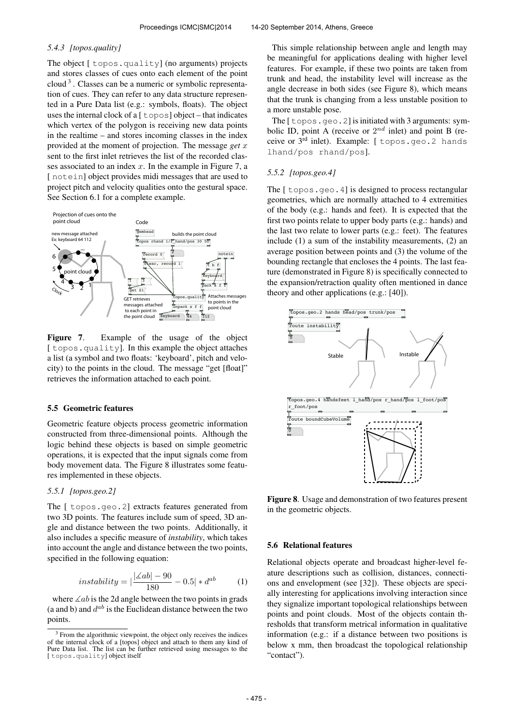# *5.4.3 [topos.quality]*

The object  $\lceil$  topos.quality] (no arguments) projects and stores classes of cues onto each element of the point cloud<sup>3</sup>. Classes can be a numeric or symbolic representation of cues. They can refer to any data structure represented in a Pure Data list (e.g.: symbols, floats). The object uses the internal clock of a  $\lceil \frac{1}{2} \log \frac{1}{2} \log \frac{1}{2} \log \frac{1}{2} \log \frac{1}{2} \log \frac{1}{2} \log \frac{1}{2} \log \frac{1}{2} \log \frac{1}{2} \log \frac{1}{2} \log \frac{1}{2} \log \frac{1}{2} \log \frac{1}{2} \log \frac{1}{2} \log \frac{1}{2} \log \frac{1}{2} \log \frac{1}{2} \log \frac{1}{2} \log \frac{1}{2} \log \frac{1}{2} \log \frac{1}{2} \$ which vertex of the polygon is receiving new data points in the realtime – and stores incoming classes in the index provided at the moment of projection. The message *get* x sent to the first inlet retrieves the list of the recorded classes associated to an index  $x$ . In the example in Figure 7, a [notein] object provides midi messages that are used to project pitch and velocity qualities onto the gestural space. See Section 6.1 for a complete example.



Figure 7. Example of the usage of the object [topos.quality]. In this example the object attaches a list (a symbol and two floats: 'keyboard', pitch and velocity) to the points in the cloud. The message "get [float]" retrieves the information attached to each point.

#### 5.5 Geometric features

Geometric feature objects process geometric information constructed from three-dimensional points. Although the logic behind these objects is based on simple geometric operations, it is expected that the input signals come from body movement data. The Figure 8 illustrates some features implemented in these objects.

# *5.5.1 [topos.geo.2]*

The [ topos.geo.2] extracts features generated from two 3D points. The features include sum of speed, 3D angle and distance between the two points. Additionally, it also includes a specific measure of *instability*, which takes into account the angle and distance between the two points, specified in the following equation:

$$
instability = |\frac{|\angle ab| - 90}{180} - 0.5| * d^{ab} \tag{1}
$$

where  $\angle ab$  is the 2d angle between the two points in grads (a and b) and  $d^{ab}$  is the Euclidean distance between the two points.

This simple relationship between angle and length may be meaningful for applications dealing with higher level features. For example, if these two points are taken from trunk and head, the instability level will increase as the angle decrease in both sides (see Figure 8), which means that the trunk is changing from a less unstable position to a more unstable pose.

The  $\lceil$  topos.geo. 2] is initiated with 3 arguments: symbolic ID, point A (receive or  $2^{nd}$  inlet) and point B (receive or 3rd inlet). Example: [ topos.geo.2 hands lhand/pos rhand/pos].

# *5.5.2 [topos.geo.4]*

The [ topos.geo.4] is designed to process rectangular geometries, which are normally attached to 4 extremities of the body (e.g.: hands and feet). It is expected that the first two points relate to upper body parts (e.g.: hands) and the last two relate to lower parts (e.g.: feet). The features include (1) a sum of the instability measurements, (2) an average position between points and (3) the volume of the bounding rectangle that encloses the 4 points. The last feature (demonstrated in Figure 8) is specifically connected to the expansion/retraction quality often mentioned in dance theory and other applications (e.g.: [40]).



Figure 8. Usage and demonstration of two features present in the geometric objects.

#### 5.6 Relational features

Relational objects operate and broadcast higher-level feature descriptions such as collision, distances, connections and envelopment (see [32]). These objects are specially interesting for applications involving interaction since they signalize important topological relationships between points and point clouds. Most of the objects contain thresholds that transform metrical information in qualitative information (e.g.: if a distance between two positions is below x mm, then broadcast the topological relationship "contact").

 $3$  From the algorithmic viewpoint, the object only receives the indices of the internal clock of a [topos] object and attach to them any kind of Pure Data list. The list can be further retrieved using messages to the [topos.quality] object itself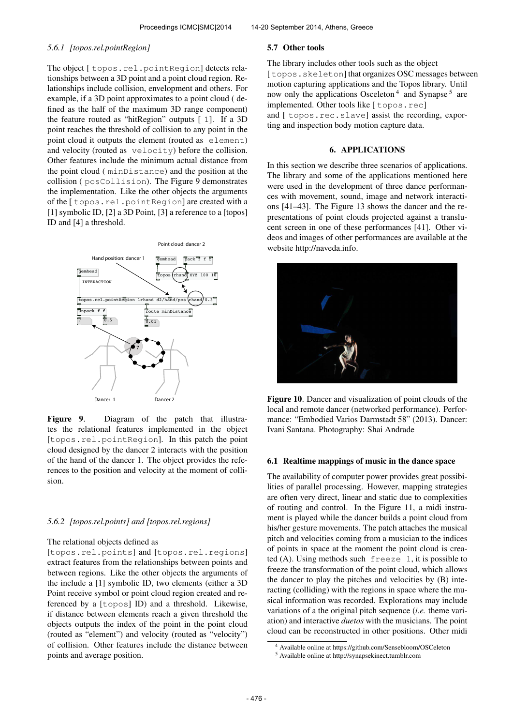#### *5.6.1 [topos.rel.pointRegion]*

The object [ topos.rel.pointRegion] detects relationships between a 3D point and a point cloud region. Relationships include collision, envelopment and others. For example, if a 3D point approximates to a point cloud ( defined as the half of the maximum 3D range component) the feature routed as "hitRegion" outputs [ 1]. If a 3D point reaches the threshold of collision to any point in the point cloud it outputs the element (routed as element) and velocity (routed as velocity) before the collision. Other features include the minimum actual distance from the point cloud ( minDistance) and the position at the collision ( posCollision). The Figure 9 demonstrates the implementation. Like the other objects the arguments of the [ topos.rel.pointRegion] are created with a [1] symbolic ID, [2] a 3D Point, [3] a reference to a [topos] ID and [4] a threshold.



Figure 9. Diagram of the patch that illustrates the relational features implemented in the object [topos.rel.pointRegion]. In this patch the point cloud designed by the dancer 2 interacts with the position of the hand of the dancer 1. The object provides the references to the position and velocity at the moment of collision.

### *5.6.2 [topos.rel.points] and [topos.rel.regions]*

## The relational objects defined as

[topos.rel.points] and [topos.rel.regions] extract features from the relationships between points and between regions. Like the other objects the arguments of the include a [1] symbolic ID, two elements (either a 3D Point receive symbol or point cloud region created and referenced by a [topos] ID) and a threshold. Likewise, if distance between elements reach a given threshold the objects outputs the index of the point in the point cloud (routed as "element") and velocity (routed as "velocity") of collision. Other features include the distance between points and average position.

### 5.7 Other tools

The library includes other tools such as the object [topos.skeleton] that organizes OSC messages between motion capturing applications and the Topos library. Until now only the applications Osceleton<sup>4</sup> and Synapse<sup>5</sup> are implemented. Other tools like [ topos.rec] and [ topos.rec.slave] assist the recording, exporting and inspection body motion capture data.

# 6. APPLICATIONS

In this section we describe three scenarios of applications. The library and some of the applications mentioned here were used in the development of three dance performances with movement, sound, image and network interactions [41–43]. The Figure 13 shows the dancer and the representations of point clouds projected against a translucent screen in one of these performances [41]. Other videos and images of other performances are available at the website http://naveda.info.



Figure 10. Dancer and visualization of point clouds of the local and remote dancer (networked performance). Performance: "Embodied Varios Darmstadt 58" (2013). Dancer: Ivani Santana. Photography: Shai Andrade

### 6.1 Realtime mappings of music in the dance space

The availability of computer power provides great possibilities of parallel processing. However, mapping strategies are often very direct, linear and static due to complexities of routing and control. In the Figure 11, a midi instrument is played while the dancer builds a point cloud from his/her gesture movements. The patch attaches the musical pitch and velocities coming from a musician to the indices of points in space at the moment the point cloud is created (A). Using methods such freeze 1, it is possible to freeze the transformation of the point cloud, which allows the dancer to play the pitches and velocities by (B) interacting (colliding) with the regions in space where the musical information was recorded. Explorations may include variations of a the original pitch sequence (*i.e.* theme variation) and interactive *duetos* with the musicians. The point cloud can be reconstructed in other positions. Other midi

<sup>4</sup> Available online at https://github.com/Sensebloom/OSCeleton

<sup>5</sup> Available online at http://synapsekinect.tumblr.com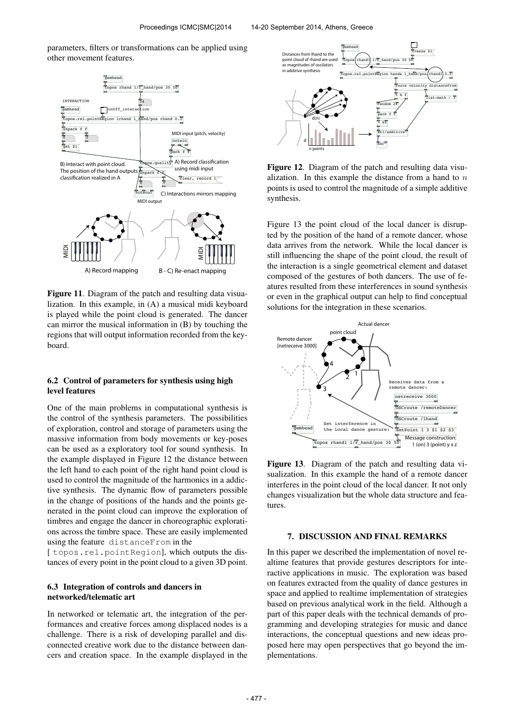parameters, filters or transformations can be applied using other movement features.



Figure 11. Diagram of the patch and resulting data visualization. In this example, in (A) a musical midi keyboard is played while the point cloud is generated. The dancer can mirror the musical information in (B) by touching the regions that will output information recorded from the keyboard.

# 6.2 Control of parameters for synthesis using high level features

One of the main problems in computational synthesis is the control of the synthesis parameters. The possibilities of exploration, control and storage of parameters using the massive information from body movements or key-poses can be used as a exploratory tool for sound synthesis. In the example displayed in Figure 12 the distance between the left hand to each point of the right hand point cloud is used to control the magnitude of the harmonics in a addictive synthesis. The dynamic flow of parameters possible in the change of positions of the hands and the points generated in the point cloud can improve the exploration of timbres and engage the dancer in choreographic explorations across the timbre space. These are easily implemented using the feature distanceFrom in the

[ topos.rel.pointRegion], which outputs the distances of every point in the point cloud to a given 3D point.

# 6.3 Integration of controls and dancers in networked/telematic art

In networked or telematic art, the integration of the performances and creative forces among displaced nodes is a challenge. There is a risk of developing parallel and disconnected creative work due to the distance between dancers and creation space. In the example displayed in the



Figure 12. Diagram of the patch and resulting data visualization. In this example the distance from a hand to  $n$ points is used to control the magnitude of a simple additive synthesis.

Figure 13 the point cloud of the local dancer is disrupted by the position of the hand of a remote dancer, whose data arrives from the network. While the local dancer is still influencing the shape of the point cloud, the result of the interaction is a single geometrical element and dataset composed of the gestures of both dancers. The use of features resulted from these interferences in sound synthesis or even in the graphical output can help to find conceptual solutions for the integration in these scenarios.



Figure 13. Diagram of the patch and resulting data visualization. In this example the hand of a remote dancer interferes in the point cloud of the local dancer. It not only changes visualization but the whole data structure and features.

# 7. DISCUSSION AND FINAL REMARKS

In this paper we described the implementation of novel realtime features that provide gestures descriptors for interactive applications in music. The exploration was based on features extracted from the quality of dance gestures in space and applied to realtime implementation of strategies based on previous analytical work in the field. Although a part of this paper deals with the technical demands of programming and developing strategies for music and dance interactions, the conceptual questions and new ideas proposed here may open perspectives that go beyond the implementations.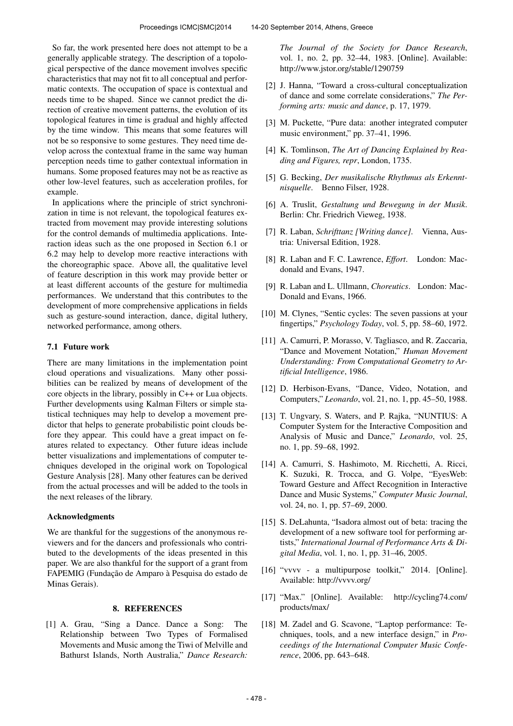So far, the work presented here does not attempt to be a generally applicable strategy. The description of a topological perspective of the dance movement involves specific characteristics that may not fit to all conceptual and performatic contexts. The occupation of space is contextual and needs time to be shaped. Since we cannot predict the direction of creative movement patterns, the evolution of its topological features in time is gradual and highly affected by the time window. This means that some features will not be so responsive to some gestures. They need time develop across the contextual frame in the same way human perception needs time to gather contextual information in humans. Some proposed features may not be as reactive as other low-level features, such as acceleration profiles, for example.

In applications where the principle of strict synchronization in time is not relevant, the topological features extracted from movement may provide interesting solutions for the control demands of multimedia applications. Interaction ideas such as the one proposed in Section 6.1 or 6.2 may help to develop more reactive interactions with the choreographic space. Above all, the qualitative level of feature description in this work may provide better or at least different accounts of the gesture for multimedia performances. We understand that this contributes to the development of more comprehensive applications in fields such as gesture-sound interaction, dance, digital luthery, networked performance, among others.

### 7.1 Future work

There are many limitations in the implementation point cloud operations and visualizations. Many other possibilities can be realized by means of development of the core objects in the library, possibly in C++ or Lua objects. Further developments using Kalman Filters or simple statistical techniques may help to develop a movement predictor that helps to generate probabilistic point clouds before they appear. This could have a great impact on features related to expectancy. Other future ideas include better visualizations and implementations of computer techniques developed in the original work on Topological Gesture Analysis [28]. Many other features can be derived from the actual processes and will be added to the tools in the next releases of the library.

#### Acknowledgments

We are thankful for the suggestions of the anonymous reviewers and for the dancers and professionals who contributed to the developments of the ideas presented in this paper. We are also thankful for the support of a grant from FAPEMIG (Fundação de Amparo à Pesquisa do estado de Minas Gerais).

# 8. REFERENCES

[1] A. Grau, "Sing a Dance. Dance a Song: The Relationship between Two Types of Formalised Movements and Music among the Tiwi of Melville and Bathurst Islands, North Australia," *Dance Research:*

*The Journal of the Society for Dance Research*, vol. 1, no. 2, pp. 32–44, 1983. [Online]. Available: <http://www.jstor.org/stable/1290759>

- [2] J. Hanna, "Toward a cross-cultural conceptualization of dance and some correlate considerations," *The Performing arts: music and dance*, p. 17, 1979.
- [3] M. Puckette, "Pure data: another integrated computer music environment," pp. 37–41, 1996.
- [4] K. Tomlinson, *The Art of Dancing Explained by Reading and Figures, repr*, London, 1735.
- [5] G. Becking, *Der musikalische Rhythmus als Erkenntnisquelle*. Benno Filser, 1928.
- [6] A. Truslit, *Gestaltung und Bewegung in der Musik*. Berlin: Chr. Friedrich Vieweg, 1938.
- [7] R. Laban, *Schrifttanz [Writing dance]*. Vienna, Austria: Universal Edition, 1928.
- [8] R. Laban and F. C. Lawrence, *Effort*. London: Macdonald and Evans, 1947.
- [9] R. Laban and L. Ullmann, *Choreutics*. London: Mac-Donald and Evans, 1966.
- [10] M. Clynes, "Sentic cycles: The seven passions at your fingertips," *Psychology Today*, vol. 5, pp. 58–60, 1972.
- [11] A. Camurri, P. Morasso, V. Tagliasco, and R. Zaccaria, "Dance and Movement Notation," *Human Movement Understanding: From Computational Geometry to Artificial Intelligence*, 1986.
- [12] D. Herbison-Evans, "Dance, Video, Notation, and Computers," *Leonardo*, vol. 21, no. 1, pp. 45–50, 1988.
- [13] T. Ungvary, S. Waters, and P. Rajka, "NUNTIUS: A Computer System for the Interactive Composition and Analysis of Music and Dance," *Leonardo*, vol. 25, no. 1, pp. 59–68, 1992.
- [14] A. Camurri, S. Hashimoto, M. Ricchetti, A. Ricci, K. Suzuki, R. Trocca, and G. Volpe, "EyesWeb: Toward Gesture and Affect Recognition in Interactive Dance and Music Systems," *Computer Music Journal*, vol. 24, no. 1, pp. 57–69, 2000.
- [15] S. DeLahunta, "Isadora almost out of beta: tracing the development of a new software tool for performing artists," *International Journal of Performance Arts & Digital Media*, vol. 1, no. 1, pp. 31–46, 2005.
- [16] "vvvv a multipurpose toolkit," 2014. [Online]. Available:<http://vvvv.org/>
- [17] "Max." [Online]. Available: [http://cycling74.com/](http://cycling74.com/products/max/) [products/max/](http://cycling74.com/products/max/)
- [18] M. Zadel and G. Scavone, "Laptop performance: Techniques, tools, and a new interface design," in *Proceedings of the International Computer Music Conference*, 2006, pp. 643–648.